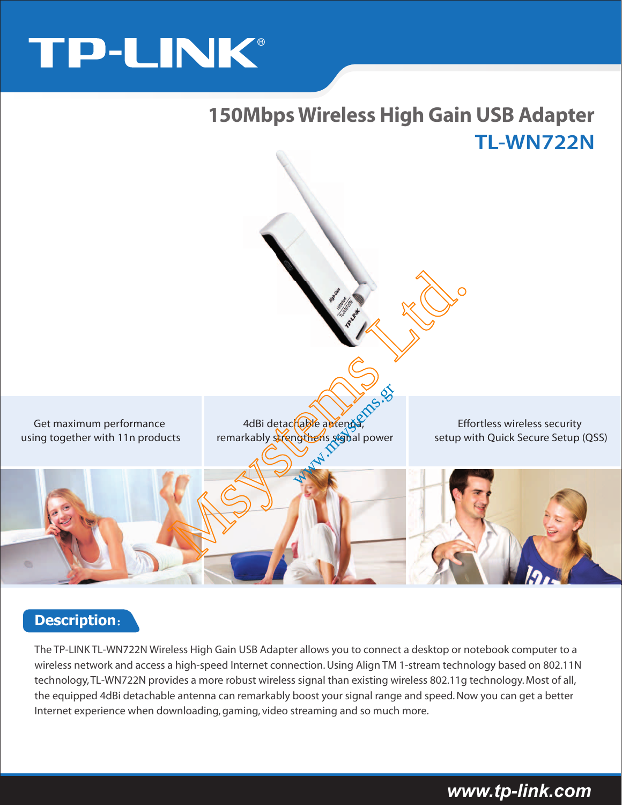# TP-LINK®



### **Description**:

The TP-LINK TL-WN722N Wireless High Gain USB Adapter allows you to connect a desktop or notebook computer to a wireless network and access a high-speed Internet connection. Using Align TM 1-stream technology based on 802.11N technology, TL-WN722N provides a more robust wireless signal than existing wireless 802.11g technology. Most of all, the equipped 4dBi detachable antenna can remarkably boost your signal range and speed. Now you can get a better Internet experience when downloading, gaming, video streaming and so much more.

### *www.tp-link.com*